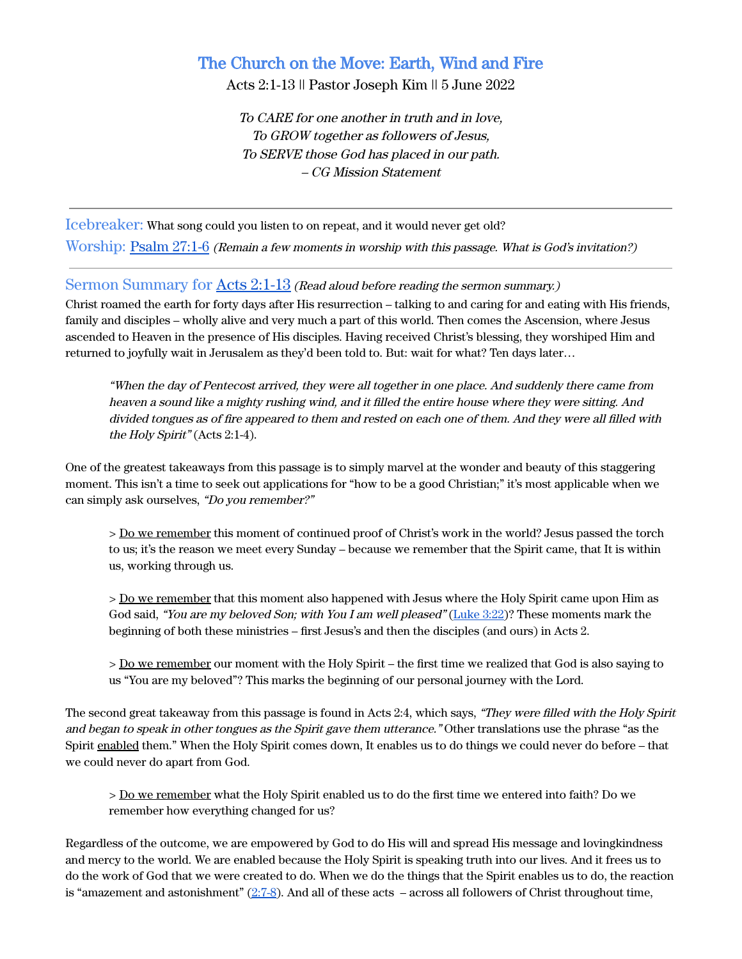# The Church on the Move: Earth, Wind and Fire

Acts 2:1-13 || Pastor Joseph Kim || 5 June 2022

To CARE for one another in truth and in love, To GROW together as followers of Jesus, To SERVE those God has placed in our path. – CG Mission Statement

Icebreaker: What song could you listen to on repeat, and it would never get old? Worship: [Psalm 27:1-6](https://www.biblegateway.com/passage/?search=Psalm+27&version=ESV) (Remain <sup>a</sup> few moments in worship with this passage. What is God's invitation?)

### Sermon Summary for Acts [2:1-13](https://www.biblegateway.com/passage/?search=Acts+2%3A1-13&version=ESV) (Read aloud before reading the sermon summary.)

Christ roamed the earth for forty days after His resurrection – talking to and caring for and eating with His friends, family and disciples – wholly alive and very much a part of this world. Then comes the Ascension, where Jesus ascended to Heaven in the presence of His disciples. Having received Christ's blessing, they worshiped Him and returned to joyfully wait in Jerusalem as they'd been told to. But: wait for what? Ten days later…

"When the day of Pentecost arrived, they were all together in one place. And suddenly there came from heaven <sup>a</sup> sound like <sup>a</sup> mighty rushing wind, and it filled the entire house where they were sitting. And divided tongues as of fire appeared to them and rested on each one of them. And they were all filled with the Holy Spirit" (Acts 2:1-4).

One of the greatest takeaways from this passage is to simply marvel at the wonder and beauty of this staggering moment. This isn't a time to seek out applications for "how to be a good Christian;" it's most applicable when we can simply ask ourselves, "Do you remember?"

> Do we remember this moment of continued proof of Christ's work in the world? Jesus passed the torch to us; it's the reason we meet every Sunday – because we remember that the Spirit came, that It is within us, working through us.

> Do we remember that this moment also happened with Jesus where the Holy Spirit came upon Him as God said, "You are my beloved Son; with You I am well pleased" [\(Luke](https://www.biblegateway.com/passage/?search=Luke+3%3A22&version=ESV) 3:22)? These moments mark the beginning of both these ministries – first Jesus's and then the disciples (and ours) in Acts 2.

> Do we remember our moment with the Holy Spirit – the first time we realized that God is also saying to us "You are my beloved"? This marks the beginning of our personal journey with the Lord.

The second great takeaway from this passage is found in Acts 2:4, which says, "They were filled with the Holy Spirit and began to speak in other tongues as the Spirit gave them utterance." Other translations use the phrase "as the Spirit enabled them." When the Holy Spirit comes down, It enables us to do things we could never do before – that we could never do apart from God.

> Do we remember what the Holy Spirit enabled us to do the first time we entered into faith? Do we remember how everything changed for us?

Regardless of the outcome, we are empowered by God to do His will and spread His message and lovingkindness and mercy to the world. We are enabled because the Holy Spirit is speaking truth into our lives. And it frees us to do the work of God that we were created to do. When we do the things that the Spirit enables us to do, the reaction is "amazement and astonishment"  $(2.7-8)$ . And all of these acts – across all followers of Christ throughout time,